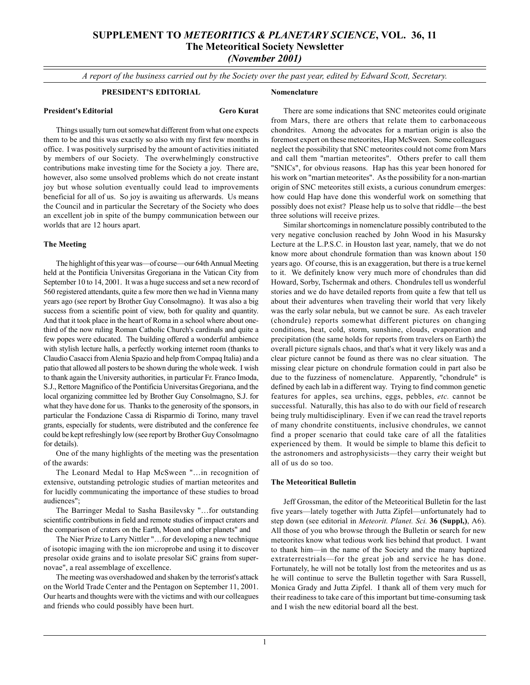# **SUPPLEMENT TO** *METEORITICS & PLANETARY SCIENCE***, VOL. 36, 11 The Meteoritical Society Newsletter** *(November 2001)*

*A report of the business carried out by the Society over the past year, edited by Edward Scott, Secretary.*

**Nomenclature**

## **PRESIDENT'S EDITORIAL**

## **President's Editorial Gero Kurat**

Things usually turn out somewhat different from what one expects them to be and this was exactly so also with my first few months in office. I was positively surprised by the amount of activities initiated by members of our Society. The overwhelmingly constructive contributions make investing time for the Society a joy. There are, however, also some unsolved problems which do not create instant joy but whose solution eventually could lead to improvements beneficial for all of us. So joy is awaiting us afterwards. Us means the Council and in particular the Secretary of the Society who does an excellent job in spite of the bumpy communication between our worlds that are 12 hours apart.

## **The Meeting**

The highlight of this year was—of course—our 64th Annual Meeting held at the Pontificia Universitas Gregoriana in the Vatican City from September 10 to 14, 2001. It was a huge success and set a new record of 560 registered attendants, quite a few more then we had in Vienna many years ago (see report by Brother Guy Consolmagno). It was also a big success from a scientific point of view, both for quality and quantity. And that it took place in the heart of Roma in a school where about onethird of the now ruling Roman Catholic Church's cardinals and quite a few popes were educated. The building offered a wonderful ambience with stylish lecture halls, a perfectly working internet room (thanks to Claudio Casacci from Alenia Spazio and help from Compaq Italia) and a patio that allowed all posters to be shown during the whole week. I wish to thank again the University authorities, in particular Fr. Franco Imoda, S.J., Rettore Magnifico of the Pontificia Universitas Gregoriana, and the local organizing committee led by Brother Guy Consolmagno, S.J. for what they have done for us. Thanks to the generosity of the sponsors, in particular the Fondazione Cassa di Risparmio di Torino, many travel grants, especially for students, were distributed and the conference fee could be kept refreshingly low (see report by Brother Guy Consolmagno for details).

One of the many highlights of the meeting was the presentation of the awards:

The Leonard Medal to Hap McSween "...in recognition of extensive, outstanding petrologic studies of martian meteorites and for lucidly communicating the importance of these studies to broad audiences";

The Barringer Medal to Sasha Basilevsky "...for outstanding scientific contributions in field and remote studies of impact craters and the comparison of craters on the Earth, Moon and other planets" and

The Nier Prize to Larry Nittler "... for developing a new technique of isotopic imaging with the ion microprobe and using it to discover presolar oxide grains and to isolate presolar SiC grains from supernovae", a real assemblage of excellence.

The meeting was overshadowed and shaken by the terrorist's attack on the World Trade Center and the Pentagon on September 11, 2001. Our hearts and thoughts were with the victims and with our colleagues and friends who could possibly have been hurt.

There are some indications that SNC meteorites could originate from Mars, there are others that relate them to carbonaceous chondrites. Among the advocates for a martian origin is also the foremost expert on these meteorites, Hap McSween. Some colleagues neglect the possibility that SNC meteorites could not come from Mars and call them "martian meteorites". Others prefer to call them "SNICs", for obvious reasons. Hap has this year been honored for his work on "martian meteorites". As the possibility for a non-martian origin of SNC meteorites still exists, a curious conundrum emerges: how could Hap have done this wonderful work on something that possibly does not exist? Please help us to solve that riddle—the best three solutions will receive prizes.

Similar shortcomings in nomenclature possibly contributed to the very negative conclusion reached by John Wood in his Masursky Lecture at the L.P.S.C. in Houston last year, namely, that we do not know more about chondrule formation than was known about 150 years ago. Of course, this is an exaggeration, but there is a true kernel to it. We definitely know very much more of chondrules than did Howard, Sorby, Tschermak and others. Chondrules tell us wonderful stories and we do have detailed reports from quite a few that tell us about their adventures when traveling their world that very likely was the early solar nebula, but we cannot be sure. As each traveler (chondrule) reports somewhat different pictures on changing conditions, heat, cold, storm, sunshine, clouds, evaporation and precipitation (the same holds for reports from travelers on Earth) the overall picture signals chaos, and that's what it very likely was and a clear picture cannot be found as there was no clear situation. The missing clear picture on chondrule formation could in part also be due to the fuzziness of nomenclature. Apparently, "chondrule" is defined by each lab in a different way. Trying to find common genetic features for apples, sea urchins, eggs, pebbles, *etc.* cannot be successful. Naturally, this has also to do with our field of research being truly multidisciplinary. Even if we can read the travel reports of many chondrite constituents, inclusive chondrules, we cannot find a proper scenario that could take care of all the fatalities experienced by them. It would be simple to blame this deficit to the astronomers and astrophysicists—they carry their weight but all of us do so too.

### **The Meteoritical Bulletin**

Jeff Grossman, the editor of the Meteoritical Bulletin for the last five years—lately together with Jutta Zipfel—unfortunately had to step down (see editorial in *Meteorit. Planet. Sci.* **36 (Suppl,)**, A6). All those of you who browse through the Bulletin or search for new meteorites know what tedious work lies behind that product. I want to thank him—in the name of the Society and the many baptized extraterrestrials—for the great job and service he has done. Fortunately, he will not be totally lost from the meteorites and us as he will continue to serve the Bulletin together with Sara Russell, Monica Grady and Jutta Zipfel. I thank all of them very much for their readiness to take care of this important but time-consuming task and I wish the new editorial board all the best.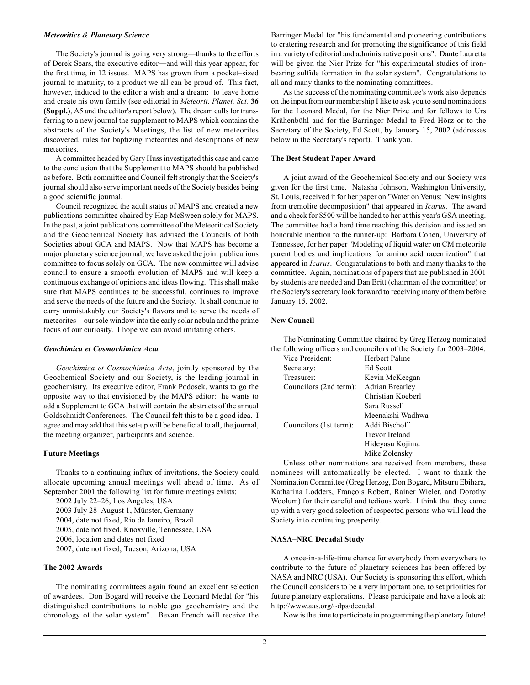#### *Meteoritics & Planetary Science*

The Society's journal is going very strong—thanks to the efforts of Derek Sears, the executive editor—and will this year appear, for the first time, in 12 issues. MAPS has grown from a pocket-sized journal to maturity, to a product we all can be proud of. This fact, however, induced to the editor a wish and a dream: to leave home and create his own family (see editorial in *Meteorit. Planet. Sci.* **36 (Suppl.)**, A5 and the editor's report below). The dream calls for transferring to a new journal the supplement to MAPS which contains the abstracts of the Society's Meetings, the list of new meteorites discovered, rules for baptizing meteorites and descriptions of new meteorites.

A committee headed by Gary Huss investigated this case and came to the conclusion that the Supplement to MAPS should be published as before. Both committee and Council felt strongly that the Society's journal should also serve important needs of the Society besides being a good scientific journal.

Council recognized the adult status of MAPS and created a new publications committee chaired by Hap McSween solely for MAPS. In the past, a joint publications committee of the Meteoritical Society and the Geochemical Society has advised the Councils of both Societies about GCA and MAPS. Now that MAPS has become a major planetary science journal, we have asked the joint publications committee to focus solely on GCA. The new committee will advise council to ensure a smooth evolution of MAPS and will keep a continuous exchange of opinions and ideas flowing. This shall make sure that MAPS continues to be successful, continues to improve and serve the needs of the future and the Society. It shall continue to carry unmistakably our Society's flavors and to serve the needs of meteorites—our sole window into the early solar nebula and the prime focus of our curiosity. I hope we can avoid imitating others.

#### *Geochimica et Cosmochimica Acta*

*Geochimica et Cosmochimica Acta*, jointly sponsored by the Geochemical Society and our Society, is the leading journal in geochemistry. Its executive editor, Frank Podosek, wants to go the opposite way to that envisioned by the MAPS editor: he wants to add a Supplement to GCA that will contain the abstracts of the annual Goldschmidt Conferences. The Council felt this to be a good idea. I agree and may add that this set-up will be beneficial to all, the journal, the meeting organizer, participants and science.

#### **Future Meetings**

Thanks to a continuing influx of invitations, the Society could allocate upcoming annual meetings well ahead of time. As of September 2001 the following list for future meetings exists:

2002 July 22-26, Los Angeles, USA

2003 July 28-August 1, Münster, Germany

2004, date not fixed, Rio de Janeiro, Brazil

2005, date not fixed, Knoxville, Tennessee, USA

2006, location and dates not fixed

2007, date not fixed, Tucson, Arizona, USA

### **The 2002 Awards**

The nominating committees again found an excellent selection of awardees. Don Bogard will receive the Leonard Medal for "his distinguished contributions to noble gas geochemistry and the chronology of the solar system". Bevan French will receive the Barringer Medal for "his fundamental and pioneering contributions to cratering research and for promoting the significance of this field in a variety of editorial and administrative positions". Dante Lauretta will be given the Nier Prize for "his experimental studies of ironbearing sulfide formation in the solar system". Congratulations to all and many thanks to the nominating committees.

As the success of the nominating committee's work also depends on the input from our membership I like to ask you to send nominations for the Leonard Medal, for the Nier Prize and for fellows to Urs Krähenbühl and for the Barringer Medal to Fred Hörz or to the Secretary of the Society, Ed Scott, by January 15, 2002 (addresses below in the Secretary's report). Thank you.

## **The Best Student Paper Award**

A joint award of the Geochemical Society and our Society was given for the first time. Natasha Johnson, Washington University, St. Louis, received it for her paper on "Water on Venus: New insights from tremolite decomposition" that appeared in *Icarus*. The award and a check for \$500 will be handed to her at this year's GSA meeting. The committee had a hard time reaching this decision and issued an honorable mention to the runner-up: Barbara Cohen, University of Tennessee, for her paper "Modeling of liquid water on CM meteorite parent bodies and implications for amino acid racemization" that appeared in *Icarus*. Congratulations to both and many thanks to the committee. Again, nominations of papers that are published in 2001 by students are needed and Dan Britt (chairman of the committee) or the Society's secretary look forward to receiving many of them before January 15, 2002.

## **New Council**

The Nominating Committee chaired by Greg Herzog nominated the following officers and councilors of the Society for  $2003-2004$ :

| Vice President:        | <b>Herbert Palme</b> |
|------------------------|----------------------|
| Secretary:             | Ed Scott             |
| Treasurer:             | Kevin McKeegan       |
| Councilors (2nd term): | Adrian Brearley      |
|                        | Christian Koeberl    |
|                        | Sara Russell         |
|                        | Meenakshi Wadhwa     |
| Councilors (1st term): | Addi Bischoff        |
|                        | Trevor Ireland       |
|                        | Hideyasu Kojima      |
|                        | Mike Zolensky        |

Unless other nominations are received from members, these nominees will automatically be elected. I want to thank the Nomination Committee (Greg Herzog, Don Bogard, Mitsuru Ebihara, Katharina Lodders, François Robert, Rainer Wieler, and Dorothy Woolum) for their careful and tedious work. I think that they came up with a very good selection of respected persons who will lead the Society into continuing prosperity.

## **NASA-NRC Decadal Study**

A once-in-a-life-time chance for everybody from everywhere to contribute to the future of planetary sciences has been offered by NASA and NRC (USA). Our Society is sponsoring this effort, which the Council considers to be a very important one, to set priorities for future planetary explorations. Please participate and have a look at: http://www.aas.org/~dps/decadal.

Now is the time to participate in programming the planetary future!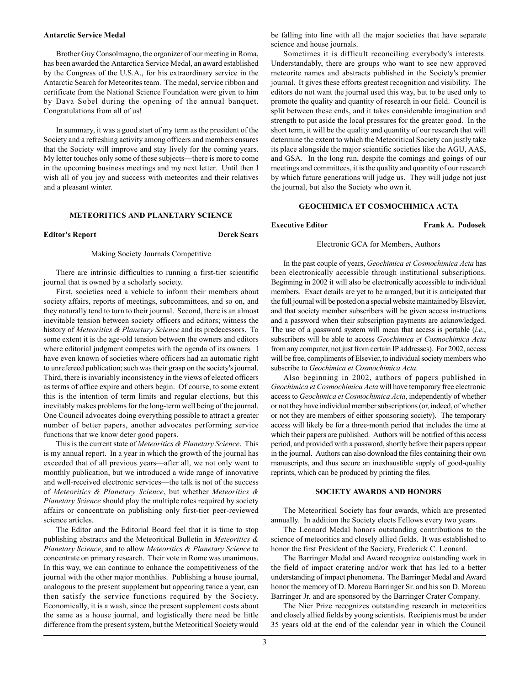## **Antarctic Service Medal**

Brother Guy Consolmagno, the organizer of our meeting in Roma, has been awarded the Antarctica Service Medal, an award established by the Congress of the U.S.A., for his extraordinary service in the Antarctic Search for Meteorites team. The medal, service ribbon and certificate from the National Science Foundation were given to him by Dava Sobel during the opening of the annual banquet. Congratulations from all of us!

In summary, it was a good start of my term as the president of the Society and a refreshing activity among officers and members ensures that the Society will improve and stay lively for the coming years. My letter touches only some of these subjects—there is more to come in the upcoming business meetings and my next letter. Until then I wish all of you joy and success with meteorites and their relatives and a pleasant winter.

### **METEORITICS AND PLANETARY SCIENCE**

#### **Editor's Report Derek Sears**

#### Making Society Journals Competitive

There are intrinsic difficulties to running a first-tier scientific journal that is owned by a scholarly society.

First, societies need a vehicle to inform their members about society affairs, reports of meetings, subcommittees, and so on, and they naturally tend to turn to their journal. Second, there is an almost inevitable tension between society officers and editors; witness the history of *Meteoritics & Planetary Science* and its predecessors. To some extent it is the age-old tension between the owners and editors where editorial judgment competes with the agenda of its owners. I have even known of societies where officers had an automatic right to unrefereed publication; such was their grasp on the society's journal. Third, there is invariably inconsistency in the views of elected officers as terms of office expire and others begin. Of course, to some extent this is the intention of term limits and regular elections, but this inevitably makes problems for the long-term well being of the journal. One Council advocates doing everything possible to attract a greater number of better papers, another advocates performing service functions that we know deter good papers.

This is the current state of *Meteoritics & Planetary Science*. This is my annual report. In a year in which the growth of the journal has exceeded that of all previous years—after all, we not only went to monthly publication, but we introduced a wide range of innovative and well-received electronic services—the talk is not of the success of *Meteoritics & Planetary Science*, but whether *Meteoritics & Planetary Science* should play the multiple roles required by society affairs or concentrate on publishing only first-tier peer-reviewed science articles.

The Editor and the Editorial Board feel that it is time to stop publishing abstracts and the Meteoritical Bulletin in *Meteoritics & Planetary Science*, and to allow *Meteoritics & Planetary Science* to concentrate on primary research. Their vote in Rome was unanimous. In this way, we can continue to enhance the competitiveness of the journal with the other major monthlies. Publishing a house journal, analogous to the present supplement but appearing twice a year, can then satisfy the service functions required by the Society. Economically, it is a wash, since the present supplement costs about the same as a house journal, and logistically there need be little difference from the present system, but the Meteoritical Society would be falling into line with all the major societies that have separate science and house journals.

Sometimes it is difficult reconciling everybody's interests. Understandably, there are groups who want to see new approved meteorite names and abstracts published in the Society's premier journal. It gives these efforts greatest recognition and visibility. The editors do not want the journal used this way, but to be used only to promote the quality and quantity of research in our field. Council is split between these ends, and it takes considerable imagination and strength to put aside the local pressures for the greater good. In the short term, it will be the quality and quantity of our research that will determine the extent to which the Meteoritical Society can justly take its place alongside the major scientific societies like the AGU, AAS, and GSA. In the long run, despite the comings and goings of our meetings and committees, it is the quality and quantity of our research by which future generations will judge us. They will judge not just the journal, but also the Society who own it.

## **GEOCHIMICA ET COSMOCHIMICA ACTA**

**Executive Editor** Frank A. Podosek

#### Electronic GCA for Members, Authors

In the past couple of years, *Geochimica et Cosmochimica Acta* has been electronically accessible through institutional subscriptions. Beginning in 2002 it will also be electronically accessible to individual members. Exact details are yet to be arranged, but it is anticipated that the full journal will be posted on a special website maintained by Elsevier, and that society member subscribers will be given access instructions and a password when their subscription payments are acknowledged. The use of a password system will mean that access is portable (*i.e.*, subscribers will be able to access *Geochimica et Cosmochimica Acta* from any computer, not just from certain IP addresses). For 2002, access will be free, compliments of Elsevier, to individual society members who subscribe to *Geochimica et Cosmochimica Acta*.

Also beginning in 2002, authors of papers published in *Geochimica et Cosmochimica Acta* will have temporary free electronic access to *Geochimica et Cosmochimica Acta*, independently of whether or not they have individual member subscriptions (or, indeed, of whether or not they are members of either sponsoring society). The temporary access will likely be for a three-month period that includes the time at which their papers are published. Authors will be notified of this access period, and provided with a password, shortly before their papers appear in the journal. Authors can also download the files containing their own manuscripts, and thus secure an inexhaustible supply of good-quality reprints, which can be produced by printing the files.

#### **SOCIETY AWARDS AND HONORS**

The Meteoritical Society has four awards, which are presented annually. In addition the Society elects Fellows every two years.

The Leonard Medal honors outstanding contributions to the science of meteoritics and closely allied fields. It was established to honor the first President of the Society, Frederick C. Leonard.

The Barringer Medal and Award recognize outstanding work in the field of impact cratering and/or work that has led to a better understanding of impact phenomena. The Barringer Medal and Award honor the memory of D. Moreau Barringer Sr. and his son D. Moreau Barringer Jr. and are sponsored by the Barringer Crater Company.

The Nier Prize recognizes outstanding research in meteoritics and closely allied fields by young scientists. Recipients must be under 35 years old at the end of the calendar year in which the Council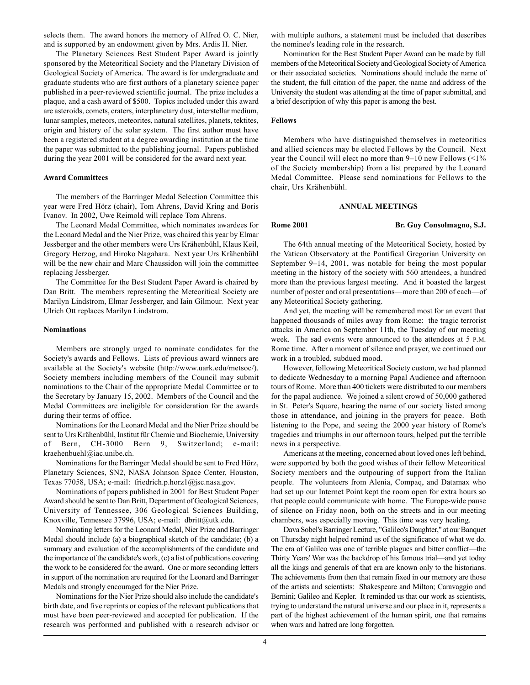selects them. The award honors the memory of Alfred O. C. Nier, and is supported by an endowment given by Mrs. Ardis H. Nier.

The Planetary Sciences Best Student Paper Award is jointly sponsored by the Meteoritical Society and the Planetary Division of Geological Society of America. The award is for undergraduate and graduate students who are first authors of a planetary science paper published in a peer-reviewed scientific journal. The prize includes a plaque, and a cash award of \$500. Topics included under this award are asteroids, comets, craters, interplanetary dust, interstellar medium, lunar samples, meteors, meteorites, natural satellites, planets, tektites, origin and history of the solar system. The first author must have been a registered student at a degree awarding institution at the time the paper was submitted to the publishing journal. Papers published during the year 2001 will be considered for the award next year.

#### **Award Committees**

The members of the Barringer Medal Selection Committee this year were Fred Hörz (chair), Tom Ahrens, David Kring and Boris Ivanov. In 2002, Uwe Reimold will replace Tom Ahrens.

The Leonard Medal Committee, which nominates awardees for the Leonard Medal and the Nier Prize, was chaired this year by Elmar Jessberger and the other members were Urs Krähenbühl, Klaus Keil, Gregory Herzog, and Hiroko Nagahara. Next year Urs Krähenbühl will be the new chair and Marc Chaussidon will join the committee replacing Jessberger.

The Committee for the Best Student Paper Award is chaired by Dan Britt. The members representing the Meteoritical Society are Marilyn Lindstrom, Elmar Jessberger, and Iain Gilmour. Next year Ulrich Ott replaces Marilyn Lindstrom.

#### **Nominations**

Members are strongly urged to nominate candidates for the Society's awards and Fellows. Lists of previous award winners are available at the Society's website (http://www.uark.edu/metsoc/). Society members including members of the Council may submit nominations to the Chair of the appropriate Medal Committee or to the Secretary by January 15, 2002. Members of the Council and the Medal Committees are ineligible for consideration for the awards during their terms of office.

Nominations for the Leonard Medal and the Nier Prize should be sent to Urs Krähenbühl, Institut für Chemie und Biochemie, University of Bern, CH-3000 Bern 9, Switzerland; e-mail: kraehenbuehl@iac.unibe.ch.

Nominations for the Barringer Medal should be sent to Fred Hörz, Planetary Sciences, SN2, NASA Johnson Space Center, Houston, Texas 77058, USA; e-mail: friedrich.p.horz1@jsc.nasa.gov.

Nominations of papers published in 2001 for Best Student Paper Award should be sent to Dan Britt, Department of Geological Sciences, University of Tennessee, 306 Geological Sciences Building, Knoxville, Tennessee 37996, USA; e-mail: dbritt@utk.edu.

Nominating letters for the Leonard Medal, Nier Prize and Barringer Medal should include (a) a biographical sketch of the candidate; (b) a summary and evaluation of the accomplishments of the candidate and the importance of the candidate's work, (c) a list of publications covering the work to be considered for the award. One or more seconding letters in support of the nomination are required for the Leonard and Barringer Medals and strongly encouraged for the Nier Prize.

Nominations for the Nier Prize should also include the candidate's birth date, and five reprints or copies of the relevant publications that must have been peer-reviewed and accepted for publication. If the research was performed and published with a research advisor or with multiple authors, a statement must be included that describes the nominee's leading role in the research.

Nomination for the Best Student Paper Award can be made by full members of the Meteoritical Society and Geological Society of America or their associated societies. Nominations should include the name of the student, the full citation of the paper, the name and address of the University the student was attending at the time of paper submittal, and a brief description of why this paper is among the best.

#### **Fellows**

Members who have distinguished themselves in meteoritics and allied sciences may be elected Fellows by the Council. Next year the Council will elect no more than  $9-10$  new Fellows (<1%) of the Society membership) from a list prepared by the Leonard Medal Committee. Please send nominations for Fellows to the chair, Urs Krähenbühl.

#### **ANNUAL MEETINGS**

## **Rome 2001 Br. Guy Consolmagno, S.J.**

The 64th annual meeting of the Meteoritical Society, hosted by the Vatican Observatory at the Pontifical Gregorian University on September 9–14, 2001, was notable for being the most popular meeting in the history of the society with 560 attendees, a hundred more than the previous largest meeting. And it boasted the largest number of poster and oral presentations—more than 200 of each—of any Meteoritical Society gathering.

And yet, the meeting will be remembered most for an event that happened thousands of miles away from Rome: the tragic terrorist attacks in America on September 11th, the Tuesday of our meeting week. The sad events were announced to the attendees at 5 P.M. Rome time. After a moment of silence and prayer, we continued our work in a troubled, subdued mood.

However, following Meteoritical Society custom, we had planned to dedicate Wednesday to a morning Papal Audience and afternoon tours of Rome. More than 400 tickets were distributed to our members for the papal audience. We joined a silent crowd of 50,000 gathered in St. Peter's Square, hearing the name of our society listed among those in attendance, and joining in the prayers for peace. Both listening to the Pope, and seeing the 2000 year history of Rome's tragedies and triumphs in our afternoon tours, helped put the terrible news in a perspective.

Americans at the meeting, concerned about loved ones left behind, were supported by both the good wishes of their fellow Meteoritical Society members and the outpouring of support from the Italian people. The volunteers from Alenia, Compaq, and Datamax who had set up our Internet Point kept the room open for extra hours so that people could communicate with home. The Europe-wide pause of silence on Friday noon, both on the streets and in our meeting chambers, was especially moving. This time was very healing.

Dava Sobel's Barringer Lecture, "Galileo's Daughter," at our Banquet on Thursday night helped remind us of the significance of what we do. The era of Galileo was one of terrible plagues and bitter conflict—the Thirty Years' War was the backdrop of his famous trial—and yet today all the kings and generals of that era are known only to the historians. The achievements from then that remain fixed in our memory are those of the artists and scientists: Shakespeare and Milton; Caravaggio and Bernini; Galileo and Kepler. It reminded us that our work as scientists, trying to understand the natural universe and our place in it, represents a part of the highest achievement of the human spirit, one that remains when wars and hatred are long forgotten.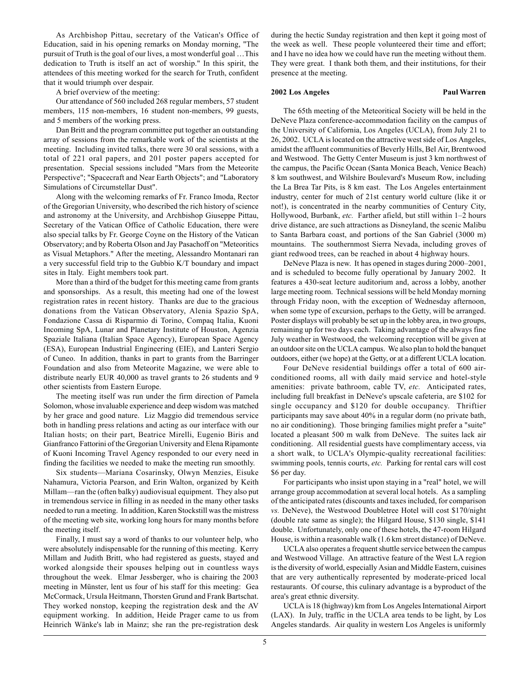As Archbishop Pittau, secretary of the Vatican's Office of Education, said in his opening remarks on Monday morning, "The pursuit of Truth is the goal of our lives, a most wonderful goal ... This dedication to Truth is itself an act of worship." In this spirit, the attendees of this meeting worked for the search for Truth, confident that it would triumph over despair.

A brief overview of the meeting:

Our attendance of 560 included 268 regular members, 57 student members, 115 non-members, 16 student non-members, 99 guests, and 5 members of the working press.

Dan Britt and the program committee put together an outstanding array of sessions from the remarkable work of the scientists at the meeting. Including invited talks, there were 30 oral sessions, with a total of 221 oral papers, and 201 poster papers accepted for presentation. Special sessions included "Mars from the Meteorite Perspective"; "Spacecraft and Near Earth Objects"; and "Laboratory Simulations of Circumstellar Dust".

Along with the welcoming remarks of Fr. Franco Imoda, Rector of the Gregorian University, who described the rich history of science and astronomy at the University, and Archbishop Giuseppe Pittau, Secretary of the Vatican Office of Catholic Education, there were also special talks by Fr. George Coyne on the History of the Vatican Observatory; and by Roberta Olson and Jay Pasachoff on "Meteoritics as Visual Metaphors." After the meeting, Alessandro Montanari ran a very successful field trip to the Gubbio K/T boundary and impact sites in Italy. Eight members took part.

More than a third of the budget for this meeting came from grants and sponsorships. As a result, this meeting had one of the lowest registration rates in recent history. Thanks are due to the gracious donations from the Vatican Observatory, Alenia Spazio SpA, Fondazione Cassa di Risparmio di Torino, Compaq Italia, Kuoni Incoming SpA, Lunar and Planetary Institute of Houston, Agenzia Spaziale Italiana (Italian Space Agency), European Space Agency (ESA), European Industrial Engineering (EIE), and Lanteri Sergio of Cuneo. In addition, thanks in part to grants from the Barringer Foundation and also from Meteorite Magazine, we were able to distribute nearly EUR 40,000 as travel grants to 26 students and 9 other scientists from Eastern Europe.

The meeting itself was run under the firm direction of Pamela Solomon, whose invaluable experience and deep wisdom was matched by her grace and good nature. Liz Maggio did tremendous service both in handling press relations and acting as our interface with our Italian hosts; on their part, Beatrice Mirelli, Eugenio Biris and Gianfranco Fattorini of the Gregorian University and Elena Ripamonte of Kuoni Incoming Travel Agency responded to our every need in finding the facilities we needed to make the meeting run smoothly.

Six students—Mariana Cosarinsky, Olwyn Menzies, Eisuke Nahamura, Victoria Pearson, and Erin Walton, organized by Keith Millam—ran the (often balky) audiovisual equipment. They also put in tremendous service in filling in as needed in the many other tasks needed to run a meeting. In addition, Karen Stockstill was the mistress of the meeting web site, working long hours for many months before the meeting itself.

Finally, I must say a word of thanks to our volunteer help, who were absolutely indispensable for the running of this meeting. Kerry Millam and Judith Britt, who had registered as guests, stayed and worked alongside their spouses helping out in countless ways throughout the week. Elmar Jessberger, who is chairing the 2003 meeting in Münster, lent us four of his staff for this meeting: Gea McCormack, Ursula Heitmann, Thorsten Grund and Frank Bartschat. They worked nonstop, keeping the registration desk and the AV equipment working. In addition, Heide Prager came to us from Heinrich Wänke's lab in Mainz; she ran the pre-registration desk during the hectic Sunday registration and then kept it going most of the week as well. These people volunteered their time and effort; and I have no idea how we could have run the meeting without them. They were great. I thank both them, and their institutions, for their presence at the meeting.

#### **2002 Los Angeles Paul Warren**

The 65th meeting of the Meteoritical Society will be held in the DeNeve Plaza conference-accommodation facility on the campus of the University of California, Los Angeles (UCLA), from July 21 to 26, 2002. UCLA is located on the attractive west side of Los Angeles, amidst the affluent communities of Beverly Hills, Bel Air, Brentwood and Westwood. The Getty Center Museum is just 3 km northwest of the campus, the Pacific Ocean (Santa Monica Beach, Venice Beach) 8 km southwest, and Wilshire Boulevard's Museum Row, including the La Brea Tar Pits, is 8 km east. The Los Angeles entertainment industry, center for much of 21st century world culture (like it or not!), is concentrated in the nearby communities of Century City, Hollywood, Burbank, etc. Farther afield, but still within 1-2 hours drive distance, are such attractions as Disneyland, the scenic Malibu to Santa Barbara coast, and portions of the San Gabriel (3000 m) mountains. The southernmost Sierra Nevada, including groves of giant redwood trees, can be reached in about 4 highway hours.

DeNeve Plaza is new. It has opened in stages during 2000-2001, and is scheduled to become fully operational by January 2002. It features a 430-seat lecture auditorium and, across a lobby, another large meeting room. Technical sessions will be held Monday morning through Friday noon, with the exception of Wednesday afternoon, when some type of excursion, perhaps to the Getty, will be arranged. Poster displays will probably be set up in the lobby area, in two groups, remaining up for two days each. Taking advantage of the always fine July weather in Westwood, the welcoming reception will be given at an outdoor site on the UCLA campus. We also plan to hold the banquet outdoors, either (we hope) at the Getty, or at a different UCLA location.

Four DeNeve residential buildings offer a total of 600 airconditioned rooms, all with daily maid service and hotel-style amenities: private bathroom, cable TV, *etc.* Anticipated rates, including full breakfast in DeNeve's upscale cafeteria, are \$102 for single occupancy and \$120 for double occupancy. Thriftier participants may save about 40% in a regular dorm (no private bath, no air conditioning). Those bringing families might prefer a "suite" located a pleasant 500 m walk from DeNeve. The suites lack air conditioning. All residential guests have complimentary access, via a short walk, to UCLA's Olympic-quality recreational facilities: swimming pools, tennis courts, *etc.* Parking for rental cars will cost \$6 per day.

For participants who insist upon staying in a "real" hotel, we will arrange group accommodation at several local hotels. As a sampling of the anticipated rates (discounts and taxes included, for comparison *vs.* DeNeve), the Westwood Doubletree Hotel will cost \$170/night (double rate same as single); the Hilgard House, \$130 single, \$141 double. Unfortunately, only one of these hotels, the 47-room Hilgard House, is within a reasonable walk (1.6 km street distance) of DeNeve.

UCLA also operates a frequent shuttle service between the campus and Westwood Village. An attractive feature of the West LA region is the diversity of world, especially Asian and Middle Eastern, cuisines that are very authentically represented by moderate-priced local restaurants. Of course, this culinary advantage is a byproduct of the area's great ethnic diversity.

UCLA is 18 (highway) km from Los Angeles International Airport (LAX). In July, traffic in the UCLA area tends to be light, by Los Angeles standards. Air quality in western Los Angeles is uniformly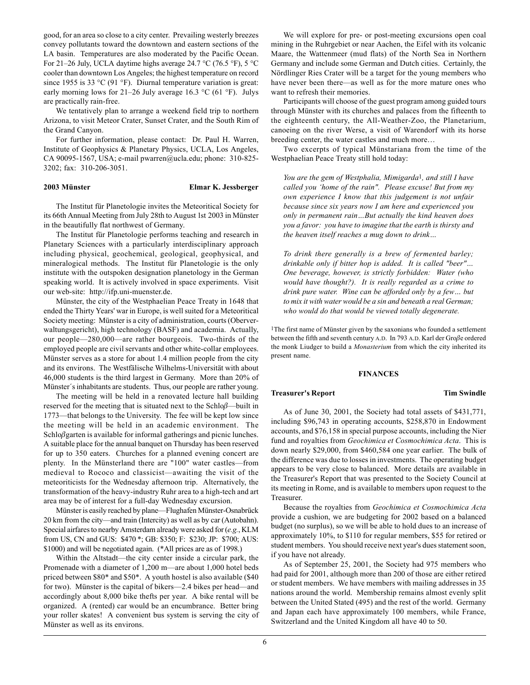good, for an area so close to a city center. Prevailing westerly breezes convey pollutants toward the downtown and eastern sections of the LA basin. Temperatures are also moderated by the Pacific Ocean. For 21–26 July, UCLA daytime highs average 24.7 °C (76.5 °F), 5 °C cooler than downtown Los Angeles; the highest temperature on record since 1955 is 33 °C (91 °F). Diurnal temperature variation is great: early morning lows for 21–26 July average 16.3 °C (61 °F). Julys are practically rain-free.

We tentatively plan to arrange a weekend field trip to northern Arizona, to visit Meteor Crater, Sunset Crater, and the South Rim of the Grand Canyon.

For further information, please contact: Dr. Paul H. Warren, Institute of Geophysics & Planetary Physics, UCLA, Los Angeles, CA 90095-1567, USA; e-mail pwarren@ucla.edu; phone: 310-825- 3202; fax: 310-206-3051.

#### **2003 Münster Elmar K. Jessberger**

The Institut für Planetologie invites the Meteoritical Society for its 66th Annual Meeting from July 28th to August 1st 2003 in Münster in the beautifully flat northwest of Germany.

The Institut für Planetologie performs teaching and research in Planetary Sciences with a particularly interdisciplinary approach including physical, geochemical, geological, geophysical, and mineralogical methods. The Institut für Planetologie is the only institute with the outspoken designation planetology in the German speaking world. It is actively involved in space experiments. Visit our web-site: http://ifp.uni-muenster.de.

Münster, the city of the Westphaelian Peace Treaty in 1648 that ended the Thirty Years' war in Europe, is well suited for a Meteoritical Society meeting: Münster is a city of administration, courts (Oberverwaltungsgericht), high technology (BASF) and academia. Actually, our people $-280,000$  are rather bourgeois. Two-thirds of the employed people are civil servants and other white-collar employees. Münster serves as a store for about 1.4 million people from the city and its environs. The Westfälische Wilhelms-Universität with about 46,000 students is the third largest in Germany. More than 20% of Münster's inhabitants are students. Thus, our people are rather young.

The meeting will be held in a renovated lecture hall building reserved for the meeting that is situated next to the Schlo $\beta$ —built in 1773—that belongs to the University. The fee will be kept low since the meeting will be held in an academic environment. The Schloβgarten is available for informal gatherings and picnic lunches. A suitable place for the annual banquet on Thursday has been reserved for up to 350 eaters. Churches for a planned evening concert are plenty. In the Münsterland there are "100" water castles—from medieval to Rococo and classicist—awaiting the visit of the meteoriticists for the Wednesday afternoon trip. Alternatively, the transformation of the heavy-industry Ruhr area to a high-tech and art area may be of interest for a full-day Wednesday excursion.

Münster is easily reached by plane—Flughafen Münster-Osnabrück 20 km from the city—and train (Intercity) as well as by car (Autobahn). Special airfares to nearby Amsterdam already were asked for (*e.g.*, KLM from US, CN and GUS: \$470 \*; GB: \$350; F: \$230; JP: \$700; AUS: \$1000) and will be negotiated again. (\*All prices are as of 1998.)

Within the Altstadt—the city center inside a circular park, the Promenade with a diameter of 1,200 m—are about 1,000 hotel beds priced between \$80\* and \$50\*. A youth hostel is also available (\$40 for two). Münster is the capital of bikers—2.4 bikes per head—and accordingly about 8,000 bike thefts per year. A bike rental will be organized. A (rented) car would be an encumbrance. Better bring your roller skates! A convenient bus system is serving the city of Münster as well as its environs.

We will explore for pre- or post-meeting excursions open coal mining in the Ruhrgebiet or near Aachen, the Eifel with its volcanic Maare, the Wattenmeer (mud flats) of the North Sea in Northern Germany and include some German and Dutch cities. Certainly, the Nördlinger Ries Crater will be a target for the young members who have never been there—as well as for the more mature ones who want to refresh their memories.

Participants will choose of the guest program among guided tours through Münster with its churches and palaces from the fifteenth to the eighteenth century, the All-Weather-Zoo, the Planetarium, canoeing on the river Werse, a visit of Warendorf with its horse breeding center, the water castles and much more...

Two excerpts of typical Münstariana from the time of the Westphaelian Peace Treaty still hold today:

*You are the gem of Westphalia, Mimigarda*1*, and still I have called you ëhome of the rain". Please excuse! But from my own experience I know that this judgement is not unfair because since six years now I am here and experienced you only in permanent rain...But actually the kind heaven does you a favor: you have to imagine that the earth is thirsty and the heaven itself reaches a mug down to drink...* 

*To drink there generally is a brew of fermented barley; drinkable only if bitter hop is added. It is called "beer"... One beverage, however, is strictly forbidden: Water (who would have thought?). It is really regarded as a crime to drink pure water. Wine can be afforded only by a few... but to mix it with water would be a sin and beneath a real German; who would do that would be viewed totally degenerate.*

<sup>1</sup>The first name of Münster given by the saxonians who founded a settlement between the fifth and seventh century A.D. In 793 A.D. Karl der Groβe ordered the monk Liudger to build a *Monasterium* from which the city inherited its present name.

#### **FINANCES**

#### **Treasurer's Report Tim Swindle**

As of June 30, 2001, the Society had total assets of \$431,771, including \$96,743 in operating accounts, \$258,870 in Endowment accounts, and \$76,158 in special purpose accounts, including the Nier fund and royalties from *Geochimica et Cosmochimica Acta*. This is down nearly \$29,000, from \$460,584 one year earlier. The bulk of the difference was due to losses in investments. The operating budget appears to be very close to balanced. More details are available in the Treasurer's Report that was presented to the Society Council at its meeting in Rome, and is available to members upon request to the Treasurer.

Because the royalties from *Geochimica et Cosmochimica Acta* provide a cushion, we are budgeting for 2002 based on a balanced budget (no surplus), so we will be able to hold dues to an increase of approximately 10%, to \$110 for regular members, \$55 for retired or student members. You should receive next year's dues statement soon, if you have not already.

As of September 25, 2001, the Society had 975 members who had paid for 2001, although more than 200 of those are either retired or student members. We have members with mailing addresses in 35 nations around the world. Membership remains almost evenly split between the United Stated (495) and the rest of the world. Germany and Japan each have approximately 100 members, while France, Switzerland and the United Kingdom all have 40 to 50.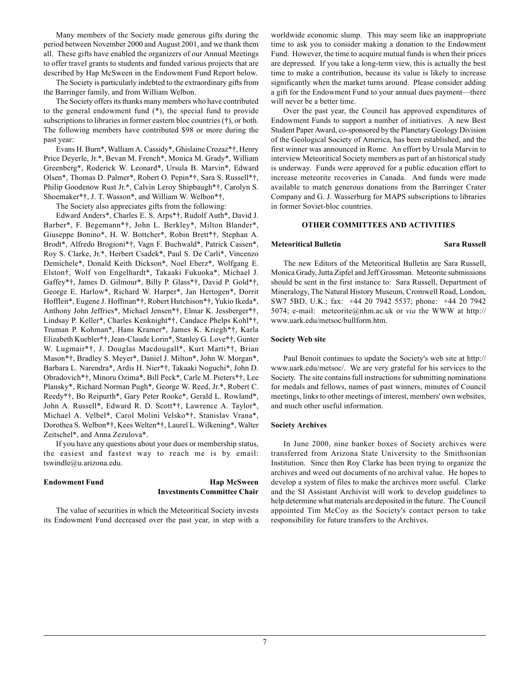Many members of the Society made generous gifts during the period between November 2000 and August 2001, and we thank them all. These gifts have enabled the organizers of our Annual Meetings to offer travel grants to students and funded various projects that are described by Hap McSween in the Endowment Fund Report below.

The Society is particularly indebted to the extraordinary gifts from the Barringer family, and from William Welbon.

The Society offers its thanks many members who have contributed to the general endowment fund (\*), the special fund to provide subscriptions to libraries in former eastern bloc countries  $(\dagger)$ , or both. The following members have contributed \$98 or more during the past year:

Evans H. Burn\*, Walliam A. Cassidy\*, Ghislaine Crozaz\*†, Henry Price Deyerle, Jr.\*, Bevan M. French\*, Monica M. Grady\*, William Greenberg\*, Roderick W. Leonard\*, Ursula B. Marvin\*, Edward Olsen\*, Thomas D. Palmer\*, Robert O. Pepin\*†, Sara S. Russell\*†, Philip Goodenow Rust Jr.\*, Calvin Leroy Shipbaugh\*†, Carolyn S. Shoemaker\*†, J. T. Wasson\*, and William W. Welbon\*†,

The Society also appreciates gifts from the following:

Edward Anders\*, Charles E. S. Arps\*†, Rudolf Auth\*, David J. Barber\*, F. Begemann\*†, John L. Berkley\*, Milton Blander\*, Giuseppe Bonino\*, H. W. Bottcher\*, Robin Brett\*†, Stephan A. Brodt\*, Alfredo Brogioni\*†, Vagn F. Buchwald\*, Patrick Cassen\*, Roy S. Clarke, Jr.\*, Herbert Csadek\*, Paul S. De Carli\*, Vincenzo Demichele\*, Donald Keith Dickson\*, Noel Eberz\*, Wolfgang E. Elston†, Wolf von Engelhardt\*, Takaaki Fukuoka\*, Michael J. Gaffey\*†, James D. Gilmour\*, Billy P. Glass\*†, David P. Gold\*†, George E. Harlow\*, Richard W. Harper\*, Jan Hertogen\*, Dorrit Hoffleit\*, Eugene J. Hoffman\*†, Robert Hutchison\*†, Yukio Ikeda\*, Anthony John Jeffries\*, Michael Jensen\*†, Elmar K. Jessberger\*†, Lindsay P. Keller\*, Charles Kenknight\*†, Candace Phelps Kohl\*†, Truman P. Kohman\*, Hans Kramer\*, James K. Kriegh\*†, Karla Elizabeth Kuebler\*†, Jean-Claude Lorin\*, Stanley G. Love\*†, Gunter W. Lugmair\*†, J. Douglas Macdougall\*, Kurt Marti\*†, Brian Mason\*†, Bradley S. Meyer\*, Daniel J. Milton\*, John W. Morgan\*, Barbara L. Narendra\*, Ardis H. Nier\*†, Takaaki Noguchi\*, John D. Obradovich\*†, Minoru Ozima\*, Bill Peck\*, Carle M. Pieters\*†, Lee Plansky\*, Richard Norman Pugh\*, George W. Reed, Jr.\*, Robert C. Reedy\*†, Bo Reipurth\*, Gary Peter Rooke\*, Gerald L. Rowland\*, John A. Russell\*, Edward R. D. Scott\*†, Lawrence A. Taylor\*, Michael A. Velbel\*, Carol Molini Velsko\*†, Stanislav Vrana\*, Dorothea S. Welbon\*†, Kees Welten\*†, Laurel L. Wilkening\*, Walter Zeitschel\*, and Anna Zezulova\*.

If you have any questions about your dues or membership status, the easiest and fastest way to reach me is by email: tswindle@u.arizona.edu.

## **Endowment Fund Hap McSween Investments Committee Chair**

The value of securities in which the Meteoritical Society invests its Endowment Fund decreased over the past year, in step with a worldwide economic slump. This may seem like an inappropriate time to ask you to consider making a donation to the Endowment Fund. However, the time to acquire mutual funds is when their prices are depressed. If you take a long-term view, this is actually the best time to make a contribution, because its value is likely to increase significantly when the market turns around. Please consider adding a gift for the Endowment Fund to your annual dues payment—there will never be a better time.

Over the past year, the Council has approved expenditures of Endowment Funds to support a number of initiatives. A new Best Student Paper Award, co-sponsored by the Planetary Geology Division of the Geological Society of America, has been established, and the first winner was announced in Rome. An effort by Ursula Marvin to interview Meteoritical Society members as part of an historical study is underway. Funds were approved for a public education effort to increase meteorite recoveries in Canada. And funds were made available to match generous donations from the Barringer Crater Company and G. J. Wasserburg for MAPS subscriptions to libraries in former Soviet-bloc countries.

## **OTHER COMMITTEES AND ACTIVITIES**

## **Meteoritical Bulletin** Sara Russell

The new Editors of the Meteoritical Bulletin are Sara Russell, Monica Grady, Jutta Zipfel and Jeff Grossman. Meteorite submissions should be sent in the first instance to: Sara Russell, Department of Mineralogy, The Natural History Museum, Cromwell Road, London, SW7 5BD, U.K.; fax: +44 20 7942 5537; phone: +44 20 7942 5074; e-mail: meteorite@nhm.ac.uk or *via* the WWW at http:// www.uark.edu/metsoc/bullform.htm.

#### **Society Web site**

Paul Benoit continues to update the Society's web site at http:// www.uark.edu/metsoc/. We are very grateful for his services to the Society. The site contains full instructions for submitting nominations for medals and fellows, names of past winners, minutes of Council meetings, links to other meetings of interest, members' own websites, and much other useful information.

#### **Society Archives**

In June 2000, nine banker boxes of Society archives were transferred from Arizona State University to the Smithsonian Institution. Since then Roy Clarke has been trying to organize the archives and weed out documents of no archival value. He hopes to develop a system of files to make the archives more useful. Clarke and the SI Assistant Archivist will work to develop guidelines to help determine what materials are deposited in the future. The Council appointed Tim McCoy as the Society's contact person to take responsibility for future transfers to the Archives.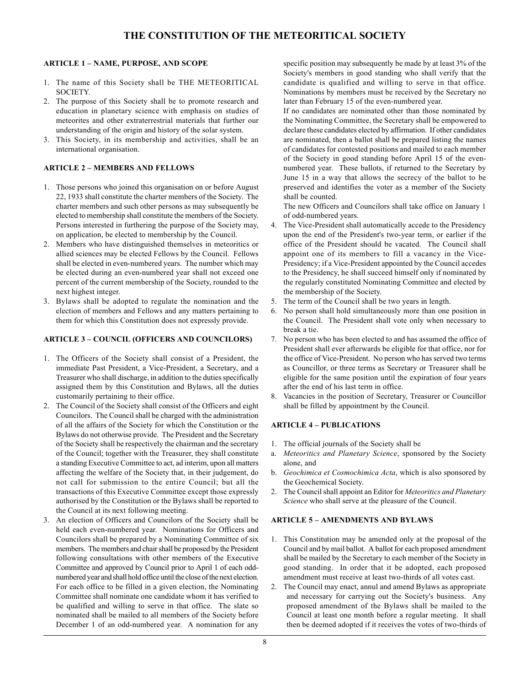# **THE CONSTITUTION OF THE METEORITICAL SOCIETY**

## **ARTICLE 1 - NAME, PURPOSE, AND SCOPE**

- 1. The name of this Society shall be THE METEORITICAL SOCIETY.
- 2. The purpose of this Society shall be to promote research and education in planetary science with emphasis on studies of meteorites and other extraterrestrial materials that further our understanding of the origin and history of the solar system.
- 3. This Society, in its membership and activities, shall be an international organisation.

## **ARTICLE 2 - MEMBERS AND FELLOWS**

- 1. Those persons who joined this organisation on or before August 22, 1933 shall constitute the charter members of the Society. The charter members and such other persons as may subsequently be elected to membership shall constitute the members of the Society. Persons interested in furthering the purpose of the Society may, on application, be elected to membership by the Council.
- 2. Members who have distinguished themselves in meteoritics or allied sciences may be elected Fellows by the Council. Fellows shall be elected in even-numbered years. The number which may be elected during an even-numbered year shall not exceed one percent of the current membership of the Society, rounded to the next highest integer.
- 3. Bylaws shall be adopted to regulate the nomination and the election of members and Fellows and any matters pertaining to them for which this Constitution does not expressly provide.

## **ARTICLE 3 - COUNCIL (OFFICERS AND COUNCILORS)**

- 1. The Officers of the Society shall consist of a President, the immediate Past President, a Vice-President, a Secretary, and a Treasurer who shall discharge, in addition to the duties specifically assigned them by this Constitution and Bylaws, all the duties customarily pertaining to their office.
- 2. The Council of the Society shall consist of the Officers and eight Councilors. The Council shall be charged with the administration of all the affairs of the Society for which the Constitution or the Bylaws do not otherwise provide. The President and the Secretary of the Society shall be respectively the chairman and the secretary of the Council; together with the Treasurer, they shall constitute a standing Executive Committee to act, ad interim, upon all matters affecting the welfare of the Society that, in their judgement, do not call for submission to the entire Council; but all the transactions of this Executive Committee except those expressly authorised by the Constitution or the Bylaws shall be reported to the Council at its next following meeting.
- 3. An election of Officers and Councilors of the Society shall be held each even-numbered year. Nominations for Officers and Councilors shall be prepared by a Nominating Committee of six members. The members and chair shall be proposed by the President following consultations with other members of the Executive Committee and approved by Council prior to April 1 of each oddnumbered year and shall hold office until the close of the next election. For each office to be filled in a given election, the Nominating Committee shall nominate one candidate whom it has verified to be qualified and willing to serve in that office. The slate so nominated shall be mailed to all members of the Society before December 1 of an odd-numbered year. A nomination for any

specific position may subsequently be made by at least 3% of the Society's members in good standing who shall verify that the candidate is qualified and willing to serve in that office. Nominations by members must be received by the Secretary no later than February 15 of the even-numbered year.

If no candidates are nominated other than those nominated by the Nominating Committee, the Secretary shall be empowered to declare these candidates elected by affirmation. If other candidates are nominated, then a ballot shall be prepared listing the names of candidates for contested positions and mailed to each member of the Society in good standing before April 15 of the evennumbered year. These ballots, if returned to the Secretary by June 15 in a way that allows the secrecy of the ballot to be preserved and identifies the voter as a member of the Society shall be counted.

The new Officers and Councilors shall take office on January 1 of odd-numbered years.

- 4. The Vice-President shall automatically accede to the Presidency upon the end of the President's two-year term, or earlier if the office of the President should be vacated. The Council shall appoint one of its members to fill a vacancy in the Vice-Presidency; if a Vice-President appointed by the Council accedes to the Presidency, he shall succeed himself only if nominated by the regularly constituted Nominating Committee and elected by the membership of the Society.
- 5. The term of the Council shall be two years in length.
- 6. No person shall hold simultaneously more than one position in the Council. The President shall vote only when necessary to break a tie.
- 7. No person who has been elected to and has assumed the office of President shall ever afterwards be eligible for that office, nor for the office of Vice-President. No person who has served two terms as Councillor, or three terms as Secretary or Treasurer shall be eligible for the same position until the expiration of four years after the end of his last term in office.
- 8. Vacancies in the position of Secretary, Treasurer or Councillor shall be filled by appointment by the Council.

## **ARTICLE 4 - PUBLICATIONS**

- 1. The official journals of the Society shall be
- a. *Meteoritics and Planetary Science*, sponsored by the Society alone, and
- b. *Geochimica et Cosmochimica Acta*, which is also sponsored by the Geochemical Society.
- 2. The Council shall appoint an Editor for *Meteoritics and Planetary Science* who shall serve at the pleasure of the Council.

## **ARTICLE 5 - AMENDMENTS AND BYLAWS**

- 1. This Constitution may be amended only at the proposal of the Council and by mail ballot. A ballot for each proposed amendment shall be mailed by the Secretary to each member of the Society in good standing. In order that it be adopted, each proposed amendment must receive at least two-thirds of all votes cast.
- 2. The Council may enact, annul and amend Bylaws as appropriate and necessary for carrying out the Society's business. Any proposed amendment of the Bylaws shall be mailed to the Council at least one month before a regular meeting. It shall then be deemed adopted if it receives the votes of two-thirds of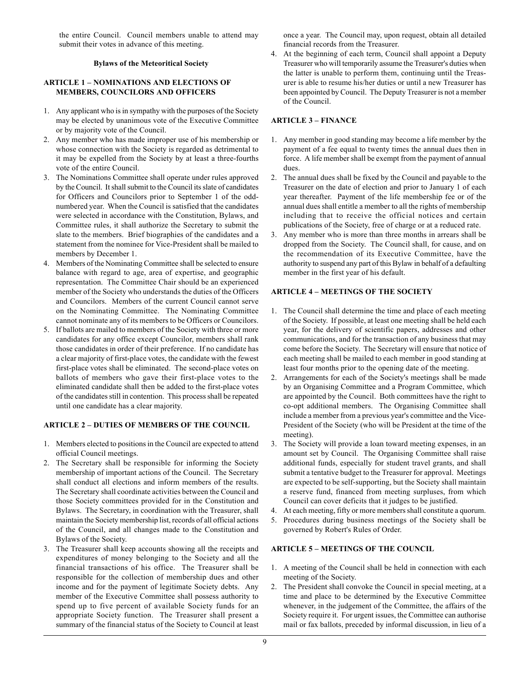the entire Council. Council members unable to attend may submit their votes in advance of this meeting.

## **Bylaws of the Meteoritical Society**

## **ARTICLE 1 - NOMINATIONS AND ELECTIONS OF MEMBERS, COUNCILORS AND OFFICERS**

- 1. Any applicant who is in sympathy with the purposes of the Society may be elected by unanimous vote of the Executive Committee or by majority vote of the Council.
- 2. Any member who has made improper use of his membership or whose connection with the Society is regarded as detrimental to it may be expelled from the Society by at least a three-fourths vote of the entire Council.
- 3. The Nominations Committee shall operate under rules approved by the Council. It shall submit to the Council its slate of candidates for Officers and Councilors prior to September 1 of the oddnumbered year. When the Council is satisfied that the candidates were selected in accordance with the Constitution, Bylaws, and Committee rules, it shall authorize the Secretary to submit the slate to the members. Brief biographies of the candidates and a statement from the nominee for Vice-President shall be mailed to members by December 1.
- 4. Members of the Nominating Committee shall be selected to ensure balance with regard to age, area of expertise, and geographic representation. The Committee Chair should be an experienced member of the Society who understands the duties of the Officers and Councilors. Members of the current Council cannot serve on the Nominating Committee. The Nominating Committee cannot nominate any of its members to be Officers or Councilors.
- 5. If ballots are mailed to members of the Society with three or more candidates for any office except Councilor, members shall rank those candidates in order of their preference. If no candidate has a clear majority of first-place votes, the candidate with the fewest first-place votes shall be eliminated. The second-place votes on ballots of members who gave their first-place votes to the eliminated candidate shall then be added to the first-place votes of the candidates still in contention. This process shall be repeated until one candidate has a clear majority.

## **ARTICLE 2 - DUTIES OF MEMBERS OF THE COUNCIL**

- 1. Members elected to positions in the Council are expected to attend official Council meetings.
- 2. The Secretary shall be responsible for informing the Society membership of important actions of the Council. The Secretary shall conduct all elections and inform members of the results. The Secretary shall coordinate activities between the Council and those Society committees provided for in the Constitution and Bylaws. The Secretary, in coordination with the Treasurer, shall maintain the Society membership list, records of all official actions of the Council, and all changes made to the Constitution and Bylaws of the Society.
- 3. The Treasurer shall keep accounts showing all the receipts and expenditures of money belonging to the Society and all the financial transactions of his office. The Treasurer shall be responsible for the collection of membership dues and other income and for the payment of legitimate Society debts. Any member of the Executive Committee shall possess authority to spend up to five percent of available Society funds for an appropriate Society function. The Treasurer shall present a summary of the financial status of the Society to Council at least

once a year. The Council may, upon request, obtain all detailed financial records from the Treasurer.

4. At the beginning of each term, Council shall appoint a Deputy Treasurer who will temporarily assume the Treasurer's duties when the latter is unable to perform them, continuing until the Treasurer is able to resume his/her duties or until a new Treasurer has been appointed by Council. The Deputy Treasurer is not a member of the Council.

## **ARTICLE 3 - FINANCE**

- 1. Any member in good standing may become a life member by the payment of a fee equal to twenty times the annual dues then in force. A life member shall be exempt from the payment of annual dues.
- 2. The annual dues shall be fixed by the Council and payable to the Treasurer on the date of election and prior to January 1 of each year thereafter. Payment of the life membership fee or of the annual dues shall entitle a member to all the rights of membership including that to receive the official notices and certain publications of the Society, free of charge or at a reduced rate.
- 3. Any member who is more than three months in arrears shall be dropped from the Society. The Council shall, for cause, and on the recommendation of its Executive Committee, have the authority to suspend any part of this Bylaw in behalf of a defaulting member in the first year of his default.

## **ARTICLE 4 - MEETINGS OF THE SOCIETY**

- 1. The Council shall determine the time and place of each meeting of the Society. If possible, at least one meeting shall be held each year, for the delivery of scientific papers, addresses and other communications, and for the transaction of any business that may come before the Society. The Secretary will ensure that notice of each meeting shall be mailed to each member in good standing at least four months prior to the opening date of the meeting.
- 2. Arrangements for each of the Society's meetings shall be made by an Organising Committee and a Program Committee, which are appointed by the Council. Both committees have the right to co-opt additional members. The Organising Committee shall include a member from a previous year's committee and the Vice-President of the Society (who will be President at the time of the meeting).
- 3. The Society will provide a loan toward meeting expenses, in an amount set by Council. The Organising Committee shall raise additional funds, especially for student travel grants, and shall submit a tentative budget to the Treasurer for approval. Meetings are expected to be self-supporting, but the Society shall maintain a reserve fund, financed from meeting surpluses, from which Council can cover deficits that it judges to be justified.
- 4. At each meeting, fifty or more members shall constitute a quorum.
- 5. Procedures during business meetings of the Society shall be governed by Robert's Rules of Order.

## **ARTICLE 5 - MEETINGS OF THE COUNCIL**

- 1. A meeting of the Council shall be held in connection with each meeting of the Society.
- 2. The President shall convoke the Council in special meeting, at a time and place to be determined by the Executive Committee whenever, in the judgement of the Committee, the affairs of the Society require it. For urgent issues, the Committee can authorise mail or fax ballots, preceded by informal discussion, in lieu of a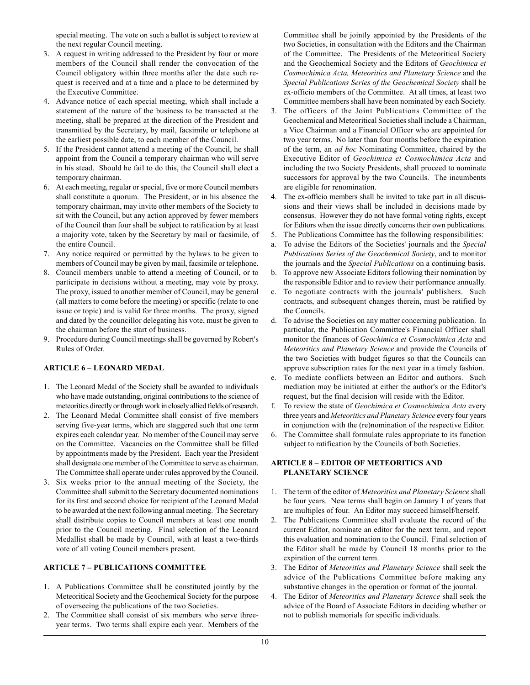special meeting. The vote on such a ballot is subject to review at the next regular Council meeting.

- 3. A request in writing addressed to the President by four or more members of the Council shall render the convocation of the Council obligatory within three months after the date such request is received and at a time and a place to be determined by the Executive Committee.
- 4. Advance notice of each special meeting, which shall include a statement of the nature of the business to be transacted at the meeting, shall be prepared at the direction of the President and transmitted by the Secretary, by mail, facsimile or telephone at the earliest possible date, to each member of the Council.
- 5. If the President cannot attend a meeting of the Council, he shall appoint from the Council a temporary chairman who will serve in his stead. Should he fail to do this, the Council shall elect a temporary chairman.
- 6. At each meeting, regular or special, five or more Council members shall constitute a quorum. The President, or in his absence the temporary chairman, may invite other members of the Society to sit with the Council, but any action approved by fewer members of the Council than four shall be subject to ratification by at least a majority vote, taken by the Secretary by mail or facsimile, of the entire Council.
- 7. Any notice required or permitted by the bylaws to be given to members of Council may be given by mail, facsimile or telephone.
- 8. Council members unable to attend a meeting of Council, or to participate in decisions without a meeting, may vote by proxy. The proxy, issued to another member of Council, may be general (all matters to come before the meeting) or specific (relate to one issue or topic) and is valid for three months. The proxy, signed and dated by the councillor delegating his vote, must be given to the chairman before the start of business.
- 9. Procedure during Council meetings shall be governed by Robert's Rules of Order.

## **ARTICLE 6 - LEONARD MEDAL**

- 1. The Leonard Medal of the Society shall be awarded to individuals who have made outstanding, original contributions to the science of meteoritics directly or through work in closely allied fields of research.
- 2. The Leonard Medal Committee shall consist of five members serving five-year terms, which are staggered such that one term expires each calendar year. No member of the Council may serve on the Committee. Vacancies on the Committee shall be filled by appointments made by the President. Each year the President shall designate one member of the Committee to serve as chairman. The Committee shall operate under rules approved by the Council.
- 3. Six weeks prior to the annual meeting of the Society, the Committee shall submit to the Secretary documented nominations for its first and second choice for recipient of the Leonard Medal to be awarded at the next following annual meeting. The Secretary shall distribute copies to Council members at least one month prior to the Council meeting. Final selection of the Leonard Medallist shall be made by Council, with at least a two-thirds vote of all voting Council members present.

## **ARTICLE 7 - PUBLICATIONS COMMITTEE**

- 1. A Publications Committee shall be constituted jointly by the Meteoritical Society and the Geochemical Society for the purpose of overseeing the publications of the two Societies.
- 2. The Committee shall consist of six members who serve threeyear terms. Two terms shall expire each year. Members of the

Committee shall be jointly appointed by the Presidents of the two Societies, in consultation with the Editors and the Chairman of the Committee. The Presidents of the Meteoritical Society and the Geochemical Society and the Editors of *Geochimica et Cosmochimica Acta, Meteoritics and Planetary Science* and the *Special Publications Series of the Geochemical Society* shall be ex-officio members of the Committee. At all times, at least two Committee members shall have been nominated by each Society.

- 3. The officers of the Joint Publications Committee of the Geochemical and Meteoritical Societies shall include a Chairman, a Vice Chairman and a Financial Officer who are appointed for two year terms. No later than four months before the expiration of the term, an *ad hoc* Nominating Committee, chaired by the Executive Editor of *Geochimica et Cosmochimica Acta* and including the two Society Presidents, shall proceed to nominate successors for approval by the two Councils. The incumbents are eligible for renomination.
- 4. The ex-officio members shall be invited to take part in all discussions and their views shall be included in decisions made by consensus. However they do not have formal voting rights, except for Editors when the issue directly concerns their own publications.
- 5. The Publications Committee has the following responsibilities:
- a. To advise the Editors of the Societies' journals and the *Special Publications Series of the Geochemical Society*, and to monitor the journals and the *Special Publications* on a continuing basis.
- b. To approve new Associate Editors following their nomination by the responsible Editor and to review their performance annually.
- c. To negotiate contracts with the journals' publishers. Such contracts, and subsequent changes therein, must be ratified by the Councils.
- d. To advise the Societies on any matter concerning publication. In particular, the Publication Committee's Financial Officer shall monitor the finances of *Geochimica et Cosmochimica Acta* and *Meteoritics and Planetary Science* and provide the Councils of the two Societies with budget figures so that the Councils can approve subscription rates for the next year in a timely fashion.
- e. To mediate conflicts between an Editor and authors. Such mediation may be initiated at either the author's or the Editor's request, but the final decision will reside with the Editor.
- f. To review the state of *Geochimica et Cosmochimica Acta* every three years and *Meteoritics and Planetary Science* every four years in conjunction with the (re)nomination of the respective Editor.
- 6. The Committee shall formulate rules appropriate to its function subject to ratification by the Councils of both Societies.

## **ARTICLE 8 - EDITOR OF METEORITICS AND PLANETARY SCIENCE**

- 1. The term of the editor of *Meteoritics and Planetary Science* shall be four years. New terms shall begin on January 1 of years that are multiples of four. An Editor may succeed himself/herself.
- 2. The Publications Committee shall evaluate the record of the current Editor, nominate an editor for the next term, and report this evaluation and nomination to the Council. Final selection of the Editor shall be made by Council 18 months prior to the expiration of the current term.
- 3. The Editor of *Meteoritics and Planetary Science* shall seek the advice of the Publications Committee before making any substantive changes in the operation or format of the journal.
- 4. The Editor of *Meteoritics and Planetary Science* shall seek the advice of the Board of Associate Editors in deciding whether or not to publish memorials for specific individuals.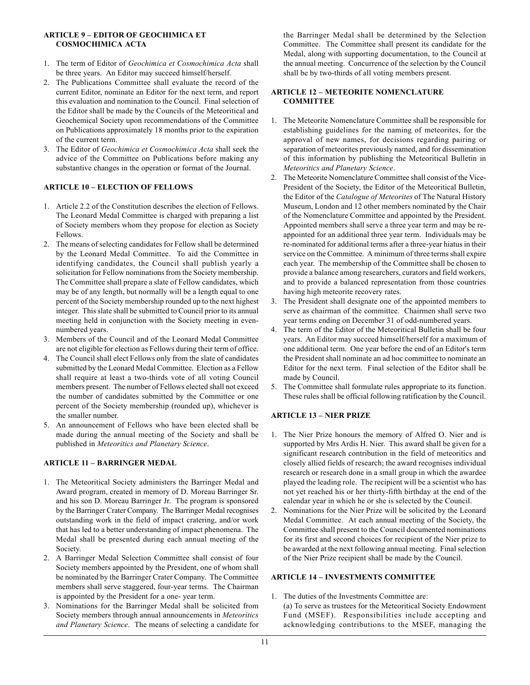## **ARTICLE 9 - EDITOR OF GEOCHIMICA ET COSMOCHIMICA ACTA**

- 1. The term of Editor of *Geochimica et Cosmochimica Acta* shall be three years. An Editor may succeed himself/herself.
- 2. The Publications Committee shall evaluate the record of the current Editor, nominate an Editor for the next term, and report this evaluation and nomination to the Council. Final selection of the Editor shall be made by the Councils of the Meteoritical and Geochemical Society upon recommendations of the Committee on Publications approximately 18 months prior to the expiration of the current term.
- 3. The Editor of *Geochimica et Cosmochimica Acta* shall seek the advice of the Committee on Publications before making any substantive changes in the operation or format of the Journal.

## **ARTICLE 10 - ELECTION OF FELLOWS**

- 1. Article 2.2 of the Constitution describes the election of Fellows. The Leonard Medal Committee is charged with preparing a list of Society members whom they propose for election as Society Fellows.
- 2. The means of selecting candidates for Fellow shall be determined by the Leonard Medal Committee. To aid the Committee in identifying candidates, the Council shall publish yearly a solicitation for Fellow nominations from the Society membership. The Committee shall prepare a slate of Fellow candidates, which may be of any length, but normally will be a length equal to one percent of the Society membership rounded up to the next highest integer. This slate shall be submitted to Council prior to its annual meeting held in conjunction with the Society meeting in evennumbered years.
- 3. Members of the Council and of the Leonard Medal Committee are not eligible for election as Fellows during their term of office.
- 4. The Council shall elect Fellows only from the slate of candidates submitted by the Leonard Medal Committee. Election as a Fellow shall require at least a two-thirds vote of all voting Council members present. The number of Fellows elected shall not exceed the number of candidates submitted by the Committee or one percent of the Society membership (rounded up), whichever is the smaller number.
- 5. An announcement of Fellows who have been elected shall be made during the annual meeting of the Society and shall be published in *Meteoritics and Planetary Science*.

## **ARTICLE 11 - BARRINGER MEDAL**

- 1. The Meteoritical Society administers the Barringer Medal and Award program, created in memory of D. Moreau Barringer Sr. and his son D. Moreau Barringer Jr. The program is sponsored by the Barringer Crater Company. The Barringer Medal recognises outstanding work in the field of impact cratering, and/or work that has led to a better understanding of impact phenomena. The Medal shall be presented during each annual meeting of the Society.
- 2. A Barringer Medal Selection Committee shall consist of four Society members appointed by the President, one of whom shall be nominated by the Barringer Crater Company. The Committee members shall serve staggered, four-year terms. The Chairman is appointed by the President for a one- year term.
- 3. Nominations for the Barringer Medal shall be solicited from Society members through annual announcements in *Meteoritics and Planetary Science*. The means of selecting a candidate for

the Barringer Medal shall be determined by the Selection Committee. The Committee shall present its candidate for the Medal, along with supporting documentation, to the Council at the annual meeting. Concurrence of the selection by the Council shall be by two-thirds of all voting members present.

## **ARTICLE 12 - METEORITE NOMENCLATURE COMMITTEE**

- 1. The Meteorite Nomenclature Committee shall be responsible for establishing guidelines for the naming of meteorites, for the approval of new names, for decisions regarding pairing or separation of meteorites previously named, and for dissemination of this information by publishing the Meteoritical Bulletin in *Meteoritics and Planetary Science*.
- 2. The Meteorite Nomenclature Committee shall consist of the Vice-President of the Society, the Editor of the Meteoritical Bulletin, the Editor of the *Catalogue of Meteorites* of The Natural History Museum, London and 12 other members nominated by the Chair of the Nomenclature Committee and appointed by the President. Appointed members shall serve a three year term and may be reappointed for an additional three year term. Individuals may be re-nominated for additional terms after a three-year hiatus in their service on the Committee. A minimum of three terms shall expire each year. The membership of the Committee shall be chosen to provide a balance among researchers, curators and field workers, and to provide a balanced representation from those countries having high meteorite recovery rates.
- 3. The President shall designate one of the appointed members to serve as chairman of the committee. Chairmen shall serve two year terms ending on December 31 of odd-numbered years.
- 4. The term of the Editor of the Meteoritical Bulletin shall be four years. An Editor may succeed himself/herself for a maximum of one additional term. One year before the end of an Editor's term the President shall nominate an ad hoc committee to nominate an Editor for the next term. Final selection of the Editor shall be made by Council.
- 5. The Committee shall formulate rules appropriate to its function. These rules shall be official following ratification by the Council.

## **ARTICLE 13 - NIER PRIZE**

- 1. The Nier Prize honours the memory of Alfred O. Nier and is supported by Mrs Ardis H. Nier. This award shall be given for a significant research contribution in the field of meteoritics and closely allied fields of research; the award recognises individual research or research done in a small group in which the awardee played the leading role. The recipient will be a scientist who has not yet reached his or her thirty-fifth birthday at the end of the calendar year in which he or she is selected by the Council.
- 2. Nominations for the Nier Prize will be solicited by the Leonard Medal Committee. At each annual meeting of the Society, the Committee shall present to the Council documented nominations for its first and second choices for recipient of the Nier prize to be awarded at the next following annual meeting. Final selection of the Nier Prize recipient shall be made by the Council.

## **ARTICLE 14 - INVESTMENTS COMMITTEE**

1. The duties of the Investments Committee are: (a) To serve as trustees for the Meteoritical Society Endowment Fund (MSEF). Responsibilities include accepting and acknowledging contributions to the MSEF, managing the